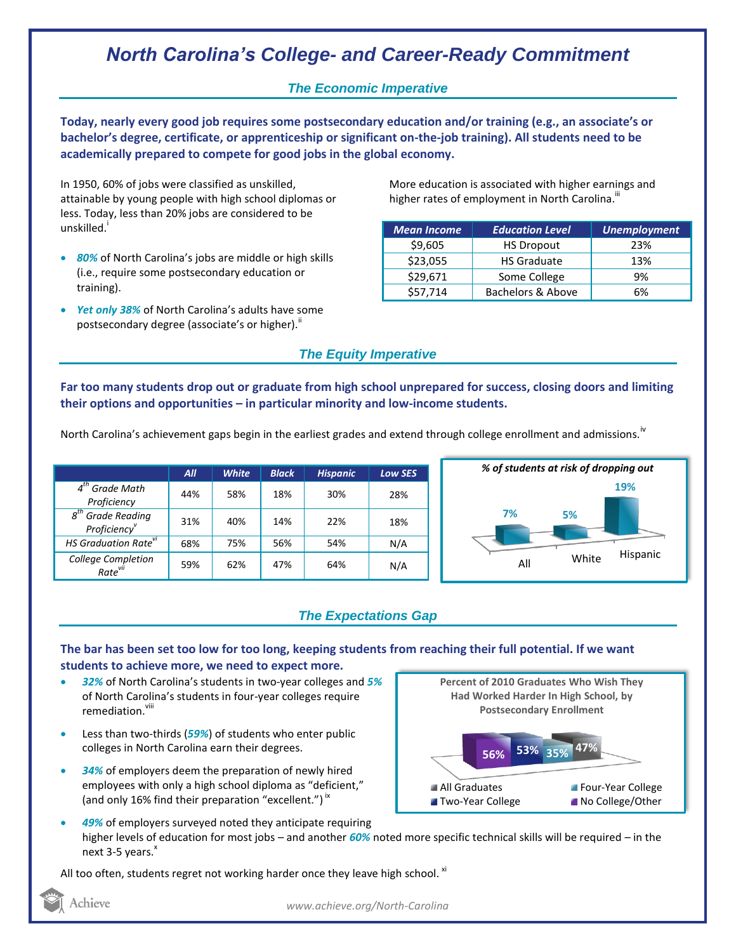# *North Carolina's College- and Career-Ready Commitment*

### *The Economic Imperative*

**Today, nearly every good job requires some postsecondary education and/or training (e.g., an associate's or bachelor's degree, certificate, or apprenticeship or significant on-the-job training). All students need to be academically prepared to compete for good jobs in the global economy.**

In 1950, 60% of jobs were classified as unskilled, attainable by young people with high school diplomas or less. Today, less than 20% jobs are considered to be unskilled.<sup>1</sup>

- *80%* of North Carolina's jobs are middle or high skills (i.e., require some postsecondary education or training).
- *Yet only 38%* of North Carolina's adults have some postsecondary degree (associate's or higher)."

More education is associated with higher earnings and higher rates of employment in North Carolina. $^{\text{\text{III}}}$ 

| <b>Mean Income</b> | <b>Education Level</b>       | <b>Unemployment</b> |
|--------------------|------------------------------|---------------------|
| \$9,605            | <b>HS Dropout</b>            | 23%                 |
| \$23,055           | <b>HS Graduate</b>           | 13%                 |
| \$29,671           | Some College                 | 9%                  |
| \$57,714           | <b>Bachelors &amp; Above</b> | 6%                  |

### *The Equity Imperative*

**Far too many students drop out or graduate from high school unprepared for success, closing doors and limiting their options and opportunities – in particular minority and low-income students.** 

North Carolina's achievement gaps begin in the earliest grades and extend through college enrollment and admissions.<sup>IV</sup>

|                                                              | All | <b>White</b> | <b>Black</b> | <b>Hispanic</b> | <b>Low SES</b> |
|--------------------------------------------------------------|-----|--------------|--------------|-----------------|----------------|
| $4th$ Grade Math<br>Proficiency                              | 44% | 58%          | 18%          | 30%             | 28%            |
| <b>Grade Reading</b><br>$g^{th}$<br>Proficiency <sup>v</sup> | 31% | 40%          | 14%          | 22%             | 18%            |
| <b>HS Graduation Rate<sup>vi</sup></b>                       | 68% | 75%          | 56%          | 54%             | N/A            |
| College Completion<br>Rate <sup>vii</sup>                    | 59% | 62%          | 47%          | 64%             | N/A            |



## *The Expectations Gap*

#### **The bar has been set too low for too long, keeping students from reaching their full potential. If we want students to achieve more, we need to expect more.**

- *32%* of North Carolina's students in two-year colleges and *5%* of North Carolina's students in four-year colleges require remediation.<sup>viii</sup>
- Less than two-thirds (*59%*) of students who enter public colleges in North Carolina earn their degrees.
- *34%* of employers deem the preparation of newly hired employees with only a high school diploma as "deficient," (and only 16% find their preparation "excellent.")<sup>ix</sup>



 *49%* of employers surveyed noted they anticipate requiring higher levels of education for most jobs – and another *60%* noted more specific technical skills will be required – in the next  $3-5$  years. $x$ 

All too often, students regret not working harder once they leave high school.  $^{xi}$ 

Achieve